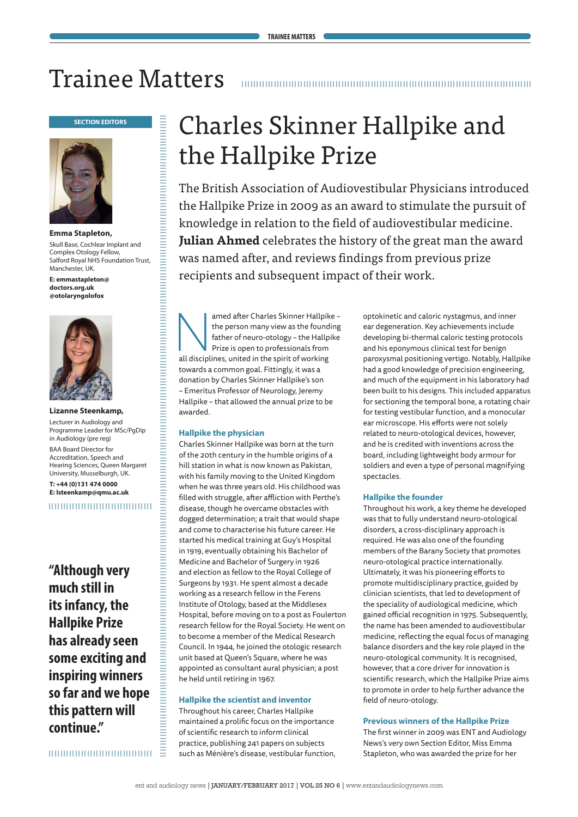## Trainee Matters



**Emma Stapleton,** Skull Base, Cochlear Implant and Complex Otology Fellow, Salford Royal NHS Foundation Trust, Manchester, UK.

**E: emmastapleton@ doctors.org.uk @otolaryngolofox**



#### **Lizanne Steenkamp,** Lecturer in Audiology and Programme Leader for MSc/PgDip

in Audiology (pre reg) BAA Board Director for Accreditation, Speech and Hearing Sciences, Queen Margaret University, Musselburgh, UK. **T: +44 (0)131 474 0000 E: lsteenkamp@qmu.ac.uk**

,,,,,,,,,,,,,,,,,,,,,,,,,,,,,,,,

**"Although very much still in its infancy, the Hallpike Prize has already seen some exciting and inspiring winners so far and we hope this pattern will continue."**

Ξ 

# the Hallpike Prize

The British Association of Audiovestibular Physicians introduced the Hallpike Prize in 2009 as an award to stimulate the pursuit of knowledge in relation to the field of audiovestibular medicine. **Julian Ahmed** celebrates the history of the great man the award was named after, and reviews findings from previous prize recipients and subsequent impact of their work.

amed after Charles Skinner Hallpike –<br>
the person many view as the founding<br>
father of neuro-otology – the Hallpike<br>
Prize is open to professionals from<br>
all disciplines, united in the spirit of working the person many view as the founding father of neuro-otology – the Hallpike Prize is open to professionals from towards a common goal. Fittingly, it was a donation by Charles Skinner Hallpike's son – Emeritus Professor of Neurology, Jeremy Hallpike – that allowed the annual prize to be awarded.

#### **Hallpike the physician**

**SECTION SECTION SECTION SECTION SECTION SECTION SECTION SECTION SECTION SECTION SECTION SECTION SECTION SECTION SECTION SECTION SECTION SECTION SECTION SECTION SECTION SECTION SECTION SECTION SECTION SECTION SECTION SECT** Charles Skinner Hallpike was born at the turn of the 20th century in the humble origins of a hill station in what is now known as Pakistan, with his family moving to the United Kingdom when he was three years old. His childhood was filled with struggle, after affliction with Perthe's disease, though he overcame obstacles with dogged determination; a trait that would shape and come to characterise his future career. He started his medical training at Guy's Hospital in 1919, eventually obtaining his Bachelor of Medicine and Bachelor of Surgery in 1926 and election as fellow to the Royal College of Surgeons by 1931. He spent almost a decade working as a research fellow in the Ferens Institute of Otology, based at the Middlesex Hospital, before moving on to a post as Foulerton research fellow for the Royal Society. He went on to become a member of the Medical Research Council. In 1944, he joined the otologic research unit based at Queen's Square, where he was appointed as consultant aural physician; a post he held until retiring in 1967.

#### **Hallpike the scientist and inventor**

Throughout his career, Charles Hallpike maintained a prolific focus on the importance of scientific research to inform clinical practice, publishing 241 papers on subjects such as Ménière's disease, vestibular function,

optokinetic and caloric nystagmus, and inner ear degeneration. Key achievements include developing bi-thermal caloric testing protocols and his eponymous clinical test for benign paroxysmal positioning vertigo. Notably, Hallpike had a good knowledge of precision engineering, and much of the equipment in his laboratory had been built to his designs. This included apparatus for sectioning the temporal bone, a rotating chair for testing vestibular function, and a monocular ear microscope. His efforts were not solely related to neuro-otological devices, however, and he is credited with inventions across the board, including lightweight body armour for soldiers and even a type of personal magnifying spectacles.

#### **Hallpike the founder**

Throughout his work, a key theme he developed was that to fully understand neuro-otological disorders, a cross-disciplinary approach is required. He was also one of the founding members of the Barany Society that promotes neuro-otological practice internationally. Ultimately, it was his pioneering efforts to promote multidisciplinary practice, guided by clinician scientists, that led to development of the speciality of audiological medicine, which gained official recognition in 1975. Subsequently, the name has been amended to audiovestibular medicine, reflecting the equal focus of managing balance disorders and the key role played in the neuro-otological community. It is recognised, however, that a core driver for innovation is scientific research, which the Hallpike Prize aims to promote in order to help further advance the field of neuro-otology.

#### **Previous winners of the Hallpike Prize**

The first winner in 2009 was ENT and Audiology News's very own Section Editor, Miss Emma Stapleton, who was awarded the prize for her